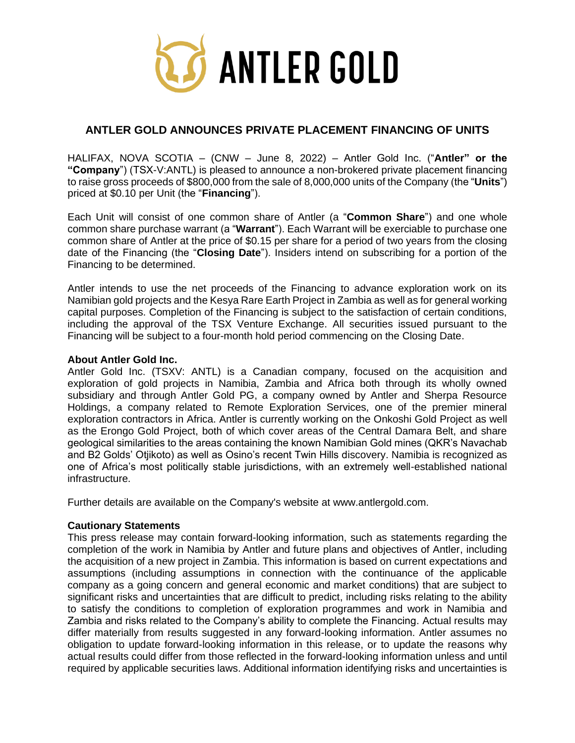

## **ANTLER GOLD ANNOUNCES PRIVATE PLACEMENT FINANCING OF UNITS**

HALIFAX, NOVA SCOTIA – (CNW – June 8, 2022) – Antler Gold Inc. ("**Antler" or the "Company**") (TSX-V:ANTL) is pleased to announce a non-brokered private placement financing to raise gross proceeds of \$800,000 from the sale of 8,000,000 units of the Company (the "**Units**") priced at \$0.10 per Unit (the "**Financing**").

Each Unit will consist of one common share of Antler (a "**Common Share**") and one whole common share purchase warrant (a "**Warrant**"). Each Warrant will be exerciable to purchase one common share of Antler at the price of \$0.15 per share for a period of two years from the closing date of the Financing (the "**Closing Date**"). Insiders intend on subscribing for a portion of the Financing to be determined.

Antler intends to use the net proceeds of the Financing to advance exploration work on its Namibian gold projects and the Kesya Rare Earth Project in Zambia as well as for general working capital purposes. Completion of the Financing is subject to the satisfaction of certain conditions, including the approval of the TSX Venture Exchange. All securities issued pursuant to the Financing will be subject to a four-month hold period commencing on the Closing Date.

## **About Antler Gold Inc.**

Antler Gold Inc. (TSXV: ANTL) is a Canadian company, focused on the acquisition and exploration of gold projects in Namibia, Zambia and Africa both through its wholly owned subsidiary and through Antler Gold PG, a company owned by Antler and Sherpa Resource Holdings, a company related to Remote Exploration Services, one of the premier mineral exploration contractors in Africa. Antler is currently working on the Onkoshi Gold Project as well as the Erongo Gold Project, both of which cover areas of the Central Damara Belt, and share geological similarities to the areas containing the known Namibian Gold mines (QKR's Navachab and B2 Golds' Otjikoto) as well as Osino's recent Twin Hills discovery. Namibia is recognized as one of Africa's most politically stable jurisdictions, with an extremely well-established national infrastructure.

Further details are available on the Company's website at www.antlergold.com.

## **Cautionary Statements**

This press release may contain forward-looking information, such as statements regarding the completion of the work in Namibia by Antler and future plans and objectives of Antler, including the acquisition of a new project in Zambia. This information is based on current expectations and assumptions (including assumptions in connection with the continuance of the applicable company as a going concern and general economic and market conditions) that are subject to significant risks and uncertainties that are difficult to predict, including risks relating to the ability to satisfy the conditions to completion of exploration programmes and work in Namibia and Zambia and risks related to the Company's ability to complete the Financing. Actual results may differ materially from results suggested in any forward-looking information. Antler assumes no obligation to update forward-looking information in this release, or to update the reasons why actual results could differ from those reflected in the forward-looking information unless and until required by applicable securities laws. Additional information identifying risks and uncertainties is